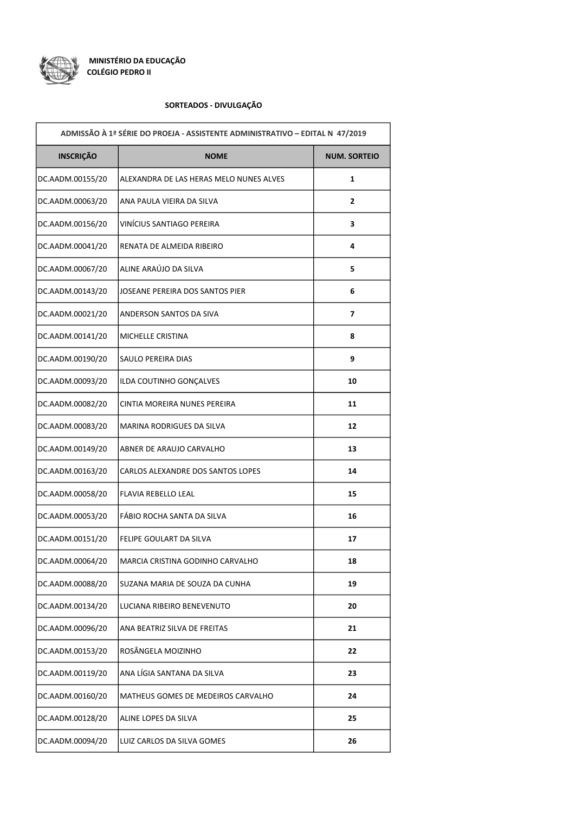

## SORTEADOS - DIVULGAÇÃO

| ADMISSÃO À 1ª SÉRIE DO PROEJA - ASSISTENTE ADMINISTRATIVO - EDITAL N 47/2019 |                                         |                          |  |
|------------------------------------------------------------------------------|-----------------------------------------|--------------------------|--|
| <b>INSCRIÇÃO</b>                                                             | <b>NOME</b>                             | <b>NUM. SORTEIO</b>      |  |
| DC.AADM.00155/20                                                             | ALEXANDRA DE LAS HERAS MELO NUNES ALVES | 1                        |  |
| DC.AADM.00063/20                                                             | ANA PAULA VIEIRA DA SILVA               | 2                        |  |
| DC.AADM.00156/20                                                             | VINÍCIUS SANTIAGO PEREIRA               | 3                        |  |
| DC.AADM.00041/20                                                             | RENATA DE ALMEIDA RIBEIRO               | 4                        |  |
| DC.AADM.00067/20                                                             | ALINE ARAÚJO DA SILVA                   | 5                        |  |
| DC.AADM.00143/20                                                             | JOSEANE PEREIRA DOS SANTOS PIER         | 6                        |  |
| DC.AADM.00021/20                                                             | ANDERSON SANTOS DA SIVA                 | $\overline{\phantom{a}}$ |  |
| DC.AADM.00141/20                                                             | MICHELLE CRISTINA                       | 8                        |  |
| DC.AADM.00190/20                                                             | SAULO PEREIRA DIAS                      | 9                        |  |
| DC.AADM.00093/20                                                             | ILDA COUTINHO GONÇALVES                 | 10                       |  |
| DC.AADM.00082/20                                                             | CINTIA MOREIRA NUNES PEREIRA            | 11                       |  |
| DC.AADM.00083/20                                                             | MARINA RODRIGUES DA SILVA               | 12                       |  |
| DC.AADM.00149/20                                                             | ABNER DE ARAUJO CARVALHO                | 13                       |  |
| DC.AADM.00163/20                                                             | CARLOS ALEXANDRE DOS SANTOS LOPES       | 14                       |  |
| DC.AADM.00058/20                                                             | FLAVIA REBELLO LEAL                     | 15                       |  |
| DC.AADM.00053/20                                                             | FÁBIO ROCHA SANTA DA SILVA              | 16                       |  |
| DC.AADM.00151/20                                                             | FELIPE GOULART DA SILVA                 | 17                       |  |
| DC.AADM.00064/20                                                             | MARCIA CRISTINA GODINHO CARVALHO        | 18                       |  |
| DC.AADM.00088/20                                                             | SUZANA MARIA DE SOUZA DA CUNHA          | 19                       |  |
| DC.AADM.00134/20                                                             | LUCIANA RIBEIRO BENEVENUTO              | 20                       |  |
| DC.AADM.00096/20                                                             | ANA BEATRIZ SILVA DE FREITAS            | 21                       |  |
| DC.AADM.00153/20                                                             | ROSÂNGELA MOIZINHO                      | 22                       |  |
| DC.AADM.00119/20                                                             | ANA LÍGIA SANTANA DA SILVA              | 23                       |  |
| DC.AADM.00160/20                                                             | MATHEUS GOMES DE MEDEIROS CARVALHO      | 24                       |  |
| DC.AADM.00128/20                                                             | ALINE LOPES DA SILVA                    | 25                       |  |
| DC.AADM.00094/20                                                             | LUIZ CARLOS DA SILVA GOMES              | 26                       |  |